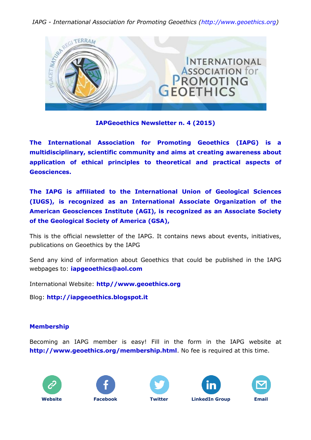

### **IAPGeoethics Newsletter n. 4 (2015)**

**The International Association for Promoting Geoethics (IAPG) is a multidisciplinary, scientific community and aims at creating awareness about application of ethical principles to theoretical and practical aspects of Geosciences.**

**The IAPG is affiliated to the International Union of Geological Sciences (IUGS), is recognized as an International Associate Organization of the American Geosciences Institute (AGI), is recognized as an Associate Society of the Geological Society of America (GSA),**

This is the official newsletter of the IAPG. It contains news about events, initiatives, publications on Geoethics by the IAPG

Send any kind of information about Geoethics that could be published in the IAPG webpages to: **[iapgeoethics@aol.com](mailto:iapgeoethics@aol.com?subject=IAPG%20newsletter)**

International Website: **[http//www.geoethics.org](http://www.geoethics.org/)**

Blog: **[http://iapgeoethics.blogspot.it](http://iapgeoethics.blogspot.it/)**

# **Membership**

Becoming an IAPG member is easy! Fill in the form in the IAPG website at **<http://www.geoethics.org/membership.html>**. No fee is required at this time.









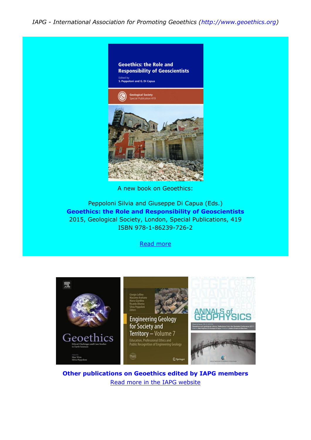

A new book on Geoethics:

Peppoloni Silvia and Giuseppe Di Capua (Eds.) **Geoethics: the Role and Responsibility of Geoscientists** 2015, Geological Society, London, Special Publications, 419 ISBN 978-1-86239-726-2

Read [more](http://www.geoethics.org/geoethicsgsl.html)



**Other publications on Geoethics edited by IAPG members** Read more in the IAPG [website](http://www.geoethics.org/publications.html)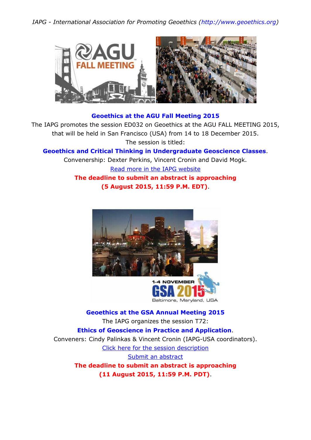

# **Geoethics at the AGU Fall Meeting 2015**

The IAPG promotes the session ED032 on Geoethics at the AGU FALL MEETING 2015, that will be held in San Francisco (USA) from 14 to 18 December 2015. The session is titled:

**Geoethics and Critical Thinking in Undergraduate Geoscience Classes**.

Convenership: Dexter Perkins, Vincent Cronin and David Mogk.

Read more in the IAPG [website](http://www.geoethics.org/events.html) **The deadline to submit an abstract is approaching**

**(5 August 2015, 11:59 P.M. EDT)**.



Baltimore, Maryland, USA

**Geoethics at the GSA Annual Meeting 2015** The IAPG organizes the session T72: **Ethics of Geoscience in Practice and Application**. Conveners: Cindy Palinkas & Vincent Cronin (IAPG-USA coordinators). Click here for the session [description](http://www.geosociety.org/meetings/2015/sessions/topical.asp) Submit an [abstract](https://gsa.confex.com/gsa/2015AM/top/papers/index.cgi?sessionid=37724&username=261693&password=326594) **The deadline to submit an abstract is approaching (11 August 2015, 11:59 P.M. PDT)**.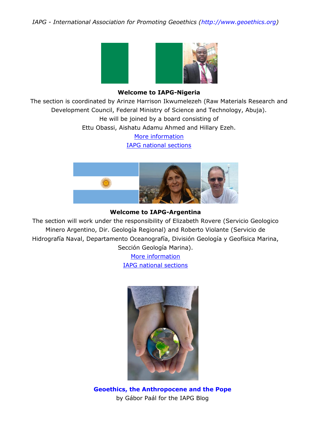

### **Welcome to IAPG-Nigeria**

The section is coordinated by Arinze Harrison Ikwumelezeh (Raw Materials Research and Development Council, Federal Ministry of Science and Technology, Abuja). He will be joined by a board consisting of Ettu Obassi, Aishatu Adamu Ahmed and Hillary Ezeh.

> More [information](http://iapgeoethics.blogspot.it/2015/07/the-iapg-section-of-nigeria-we-welcome.html) IAPG national [sections](http://www.geoethics.org/sections.html)



#### **Welcome to IAPG-Argentina**

The section will work under the responsibility of Elizabeth Rovere (Servicio Geologico Minero Argentino, Dir. Geología Regional) and Roberto Violante (Servicio de Hidrografía Naval, Departamento Oceanografía, División Geología y Geofísica Marina, Sección Geología Marina).

> More [information](http://iapgeoethics.blogspot.it/2015/07/the-iapg-section-of-argentina-we.html) IAPG national [sections](http://www.geoethics.org/sections.html)



**Geoethics, the [Anthropocene](http://iapgeoethics.blogspot.it/2015/07/geoethics-anthropocene-and-pope-by.html) and the Pope** by Gábor Paál for the IAPG Blog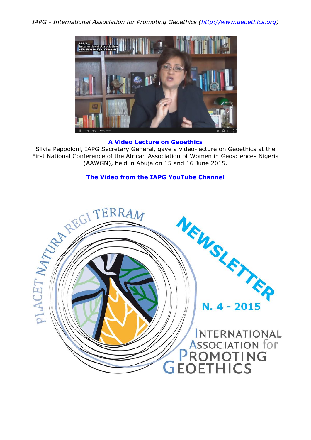

#### **A Video Lecture on Geoethics**

Silvia Peppoloni, IAPG Secretary General, gave a video-lecture on Geoethics at the (AAWGN), held in Abuja on 15 and 16 June 2015.

### **[The Video from the IAPG YouTube Channel](http://iapgeoethics.blogspot.it/2015/07/the-video-lecture-on-geoethics-at-aawg.html)**